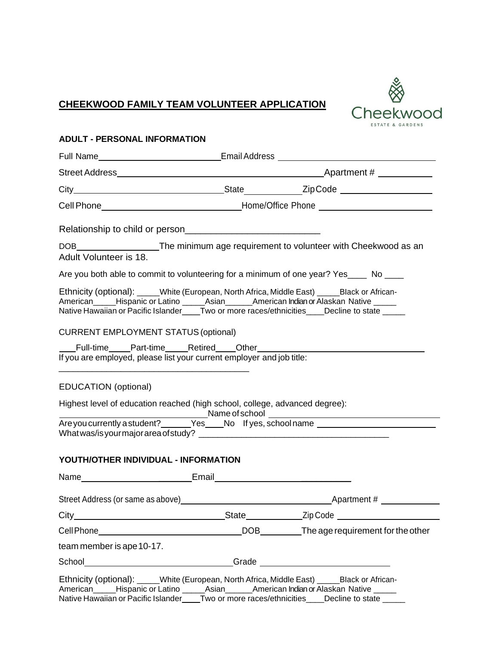# **CHEEKWOOD FAMILY TEAM VOLUNTEER APPLICATION**



#### **ADULT - PERSONAL INFORMATION**

| Adult Volunteer is 18.                                                                                                                                                                                                                                                                  |  | DOB____________________The minimum age requirement to volunteer with Cheekwood as an |  |
|-----------------------------------------------------------------------------------------------------------------------------------------------------------------------------------------------------------------------------------------------------------------------------------------|--|--------------------------------------------------------------------------------------|--|
| Are you both able to commit to volunteering for a minimum of one year? Yes____ No ____                                                                                                                                                                                                  |  |                                                                                      |  |
| Ethnicity (optional): _____White (European, North Africa, Middle East) _____Black or African-<br>American_____Hispanic or Latino ______Asian_______American Indian or Alaskan Native ______<br>Native Hawaiian or Pacific Islander____Two or more races/ethnicities____Decline to state |  |                                                                                      |  |
| <b>CURRENT EMPLOYMENT STATUS (optional)</b>                                                                                                                                                                                                                                             |  |                                                                                      |  |
| If you are employed, please list your current employer and job title:                                                                                                                                                                                                                   |  |                                                                                      |  |
| <b>EDUCATION</b> (optional)                                                                                                                                                                                                                                                             |  |                                                                                      |  |
| Highest level of education reached (high school, college, advanced degree):                                                                                                                                                                                                             |  |                                                                                      |  |
|                                                                                                                                                                                                                                                                                         |  |                                                                                      |  |
| YOUTH/OTHER INDIVIDUAL - INFORMATION                                                                                                                                                                                                                                                    |  |                                                                                      |  |
|                                                                                                                                                                                                                                                                                         |  |                                                                                      |  |
|                                                                                                                                                                                                                                                                                         |  |                                                                                      |  |
|                                                                                                                                                                                                                                                                                         |  |                                                                                      |  |
|                                                                                                                                                                                                                                                                                         |  |                                                                                      |  |
| team member is ape 10-17.                                                                                                                                                                                                                                                               |  |                                                                                      |  |
|                                                                                                                                                                                                                                                                                         |  |                                                                                      |  |
| Ethnicity (optional): _____White (European, North Africa, Middle East) _____Black or African-<br>American_____Hispanic or Latino ______Asian_______American Indian or Alaskan Native _____<br>Native Hawaiian or Pacific Islander Two or more races/ethnicities Decline to state        |  |                                                                                      |  |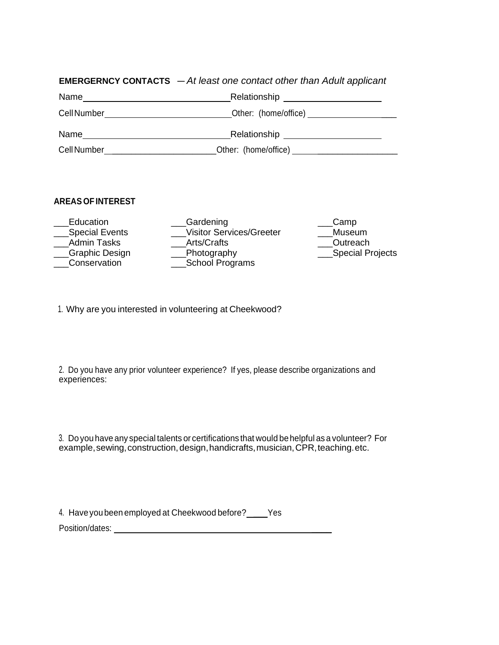## **EMERGERNCY CONTACTS** — *At least one contact other than Adult applicant*

| Relationship         |
|----------------------|
| Other: (home/office) |
| Relationship         |
| Other: (home/office) |
|                      |

## **AREAS OFINTEREST**

| Education             | Gardening                       | Camp             |
|-----------------------|---------------------------------|------------------|
| <b>Special Events</b> | <b>Visitor Services/Greeter</b> | Museum           |
| <b>Admin Tasks</b>    | Arts/Crafts                     | Outreach         |
| Graphic Design        | Photography                     | Special Projects |
| Conservation          | School Programs                 |                  |
|                       |                                 |                  |

1. Why are you interested in volunteering at Cheekwood?

2. Do you have any prior volunteer experience? If yes, please describe organizations and experiences:

3. Do you have any special talents or certifications that would behelpful as a volunteer? For example, sewing, construction, design, handicrafts, musician, CPR, teaching.etc.

4. Haveyoubeen employed at Cheekwood before? \_\_\_Yes Position/dates: \_\_\_\_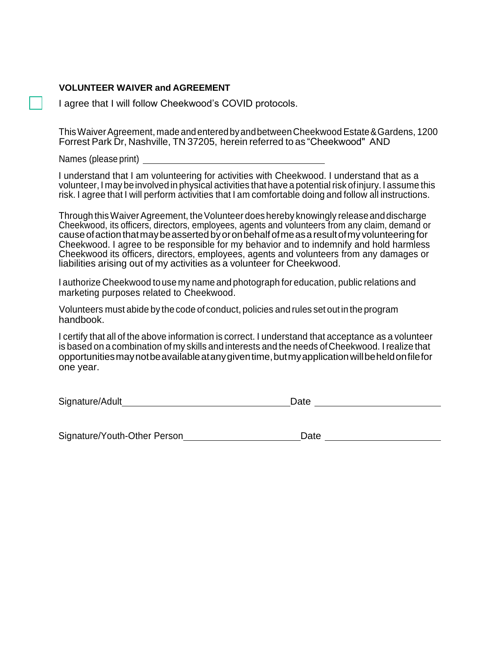#### **VOLUNTEER WAIVER and AGREEMENT**

I agree that I will follow Cheekwood's COVID protocols.

ThisWaiverAgreement, madeandenteredbyandbetweenCheekwoodEstate&Gardens, 1200 Forrest Park Dr, Nashville, TN 37205, herein referred to as "Cheekwood" AND

Names (please print)

I understand that I am volunteering for activities with Cheekwood. I understand that as a volunteer, I may beinvolved in physical activities that have a potential risk ofinjury. I assume this risk. I agree that I will perform activities that I am comfortable doing and follow all instructions.

Through this Waiver Agreement, the Volunteer does hereby knowingly release and discharge Cheekwood, its officers, directors, employees, agents and volunteers from any claim, demand or causeofactionthatmaybeassertedbyoronbehalfofmeasaresultofmy volunteering for Cheekwood. I agree to be responsible for my behavior and to indemnify and hold harmless Cheekwood its officers, directors, employees, agents and volunteers from any damages or liabilities arising out of my activities as a volunteer for Cheekwood.

I authorize Cheekwood touse my name and photograph for education, public relations and marketing purposes related to Cheekwood.

Volunteers must abide by thecode of conduct, policies and rules set out in the program handbook.

I certify that all of the above information is correct. I understand that acceptance as a volunteer is based on a combination of my skills and interests and the needs ofCheekwood. I realize that opportunitiesmaynotbeavailableatanygiventime,butmyapplicationwillbeheldonfilefor one year.

Signature/Adult **Date** 

Signature/Youth-Other Person
<br>
and Date Date